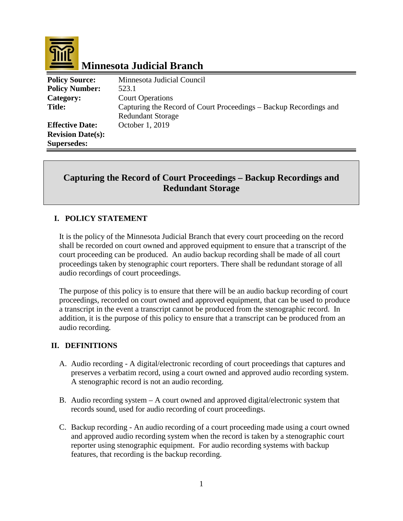

# **Minnesota Judicial Branch**

| <b>Policy Source:</b>    | Minnesota Judicial Council                                        |
|--------------------------|-------------------------------------------------------------------|
| <b>Policy Number:</b>    | 523.1                                                             |
| Category:                | <b>Court Operations</b>                                           |
| <b>Title:</b>            | Capturing the Record of Court Proceedings – Backup Recordings and |
|                          | <b>Redundant Storage</b>                                          |
| <b>Effective Date:</b>   | October 1, 2019                                                   |
| <b>Revision Date(s):</b> |                                                                   |
| <b>Supersedes:</b>       |                                                                   |

## **Capturing the Record of Court Proceedings – Backup Recordings and Redundant Storage**

## **I. POLICY STATEMENT**

It is the policy of the Minnesota Judicial Branch that every court proceeding on the record shall be recorded on court owned and approved equipment to ensure that a transcript of the court proceeding can be produced. An audio backup recording shall be made of all court proceedings taken by stenographic court reporters. There shall be redundant storage of all audio recordings of court proceedings.

The purpose of this policy is to ensure that there will be an audio backup recording of court proceedings, recorded on court owned and approved equipment, that can be used to produce a transcript in the event a transcript cannot be produced from the stenographic record. In addition, it is the purpose of this policy to ensure that a transcript can be produced from an audio recording.

## **II. DEFINITIONS**

- A. Audio recording A digital/electronic recording of court proceedings that captures and preserves a verbatim record, using a court owned and approved audio recording system. A stenographic record is not an audio recording.
- B. Audio recording system A court owned and approved digital/electronic system that records sound, used for audio recording of court proceedings.
- C. Backup recording An audio recording of a court proceeding made using a court owned and approved audio recording system when the record is taken by a stenographic court reporter using stenographic equipment. For audio recording systems with backup features, that recording is the backup recording.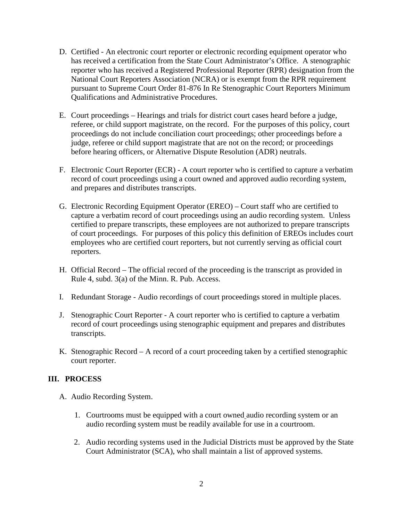- D. Certified An electronic court reporter or electronic recording equipment operator who has received a certification from the State Court Administrator's Office. A stenographic reporter who has received a Registered Professional Reporter (RPR) designation from the National Court Reporters Association (NCRA) or is exempt from the RPR requirement pursuant to Supreme Court Order 81-876 In Re Stenographic Court Reporters Minimum Qualifications and Administrative Procedures.
- E. Court proceedings Hearings and trials for district court cases heard before a judge, referee, or child support magistrate, on the record. For the purposes of this policy, court proceedings do not include conciliation court proceedings; other proceedings before a judge, referee or child support magistrate that are not on the record; or proceedings before hearing officers, or Alternative Dispute Resolution (ADR) neutrals.
- F. Electronic Court Reporter (ECR) A court reporter who is certified to capture a verbatim record of court proceedings using a court owned and approved audio recording system, and prepares and distributes transcripts.
- G. Electronic Recording Equipment Operator (EREO) Court staff who are certified to capture a verbatim record of court proceedings using an audio recording system. Unless certified to prepare transcripts, these employees are not authorized to prepare transcripts of court proceedings. For purposes of this policy this definition of EREOs includes court employees who are certified court reporters, but not currently serving as official court reporters.
- H. Official Record The official record of the proceeding is the transcript as provided in Rule 4, subd. 3(a) of the Minn. R. Pub. Access.
- I. Redundant Storage Audio recordings of court proceedings stored in multiple places.
- J. Stenographic Court Reporter A court reporter who is certified to capture a verbatim record of court proceedings using stenographic equipment and prepares and distributes transcripts.
- K. Stenographic Record A record of a court proceeding taken by a certified stenographic court reporter.

#### **III. PROCESS**

- A. Audio Recording System.
	- 1. Courtrooms must be equipped with a court owned audio recording system or an audio recording system must be readily available for use in a courtroom.
	- 2. Audio recording systems used in the Judicial Districts must be approved by the State Court Administrator (SCA), who shall maintain a list of approved systems.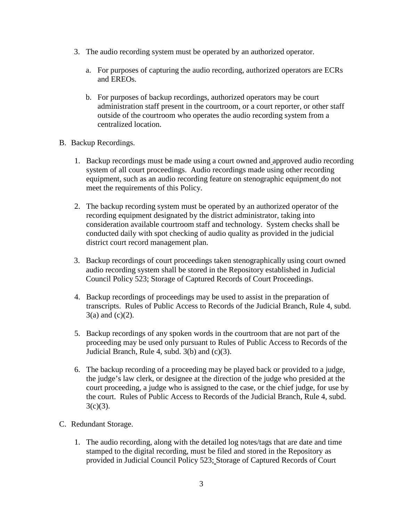- 3. The audio recording system must be operated by an authorized operator.
	- a. For purposes of capturing the audio recording, authorized operators are ECRs and EREOs.
	- b. For purposes of backup recordings, authorized operators may be court administration staff present in the courtroom, or a court reporter, or other staff outside of the courtroom who operates the audio recording system from a centralized location.
- B. Backup Recordings.
	- 1. Backup recordings must be made using a court owned and approved audio recording system of all court proceedings. Audio recordings made using other recording equipment, such as an audio recording feature on stenographic equipment do not meet the requirements of this Policy.
	- 2. The backup recording system must be operated by an authorized operator of the recording equipment designated by the district administrator, taking into consideration available courtroom staff and technology. System checks shall be conducted daily with spot checking of audio quality as provided in the judicial district court record management plan.
	- 3. Backup recordings of court proceedings taken stenographically using court owned audio recording system shall be stored in the Repository established in Judicial Council Policy 523; Storage of Captured Records of Court Proceedings.
	- 4. Backup recordings of proceedings may be used to assist in the preparation of transcripts. Rules of Public Access to Records of the Judicial Branch, Rule 4, subd.  $3(a)$  and  $(c)(2)$ .
	- 5. Backup recordings of any spoken words in the courtroom that are not part of the proceeding may be used only pursuant to Rules of Public Access to Records of the Judicial Branch, Rule 4, subd. 3(b) and (c)(3).
	- 6. The backup recording of a proceeding may be played back or provided to a judge, the judge's law clerk, or designee at the direction of the judge who presided at the court proceeding, a judge who is assigned to the case, or the chief judge, for use by the court. Rules of Public Access to Records of the Judicial Branch, Rule 4, subd.  $3(c)(3)$ .
- C. Redundant Storage.
	- 1. The audio recording, along with the detailed log notes/tags that are date and time stamped to the digital recording, must be filed and stored in the Repository as provided in Judicial Council Policy 523; Storage of Captured Records of Court